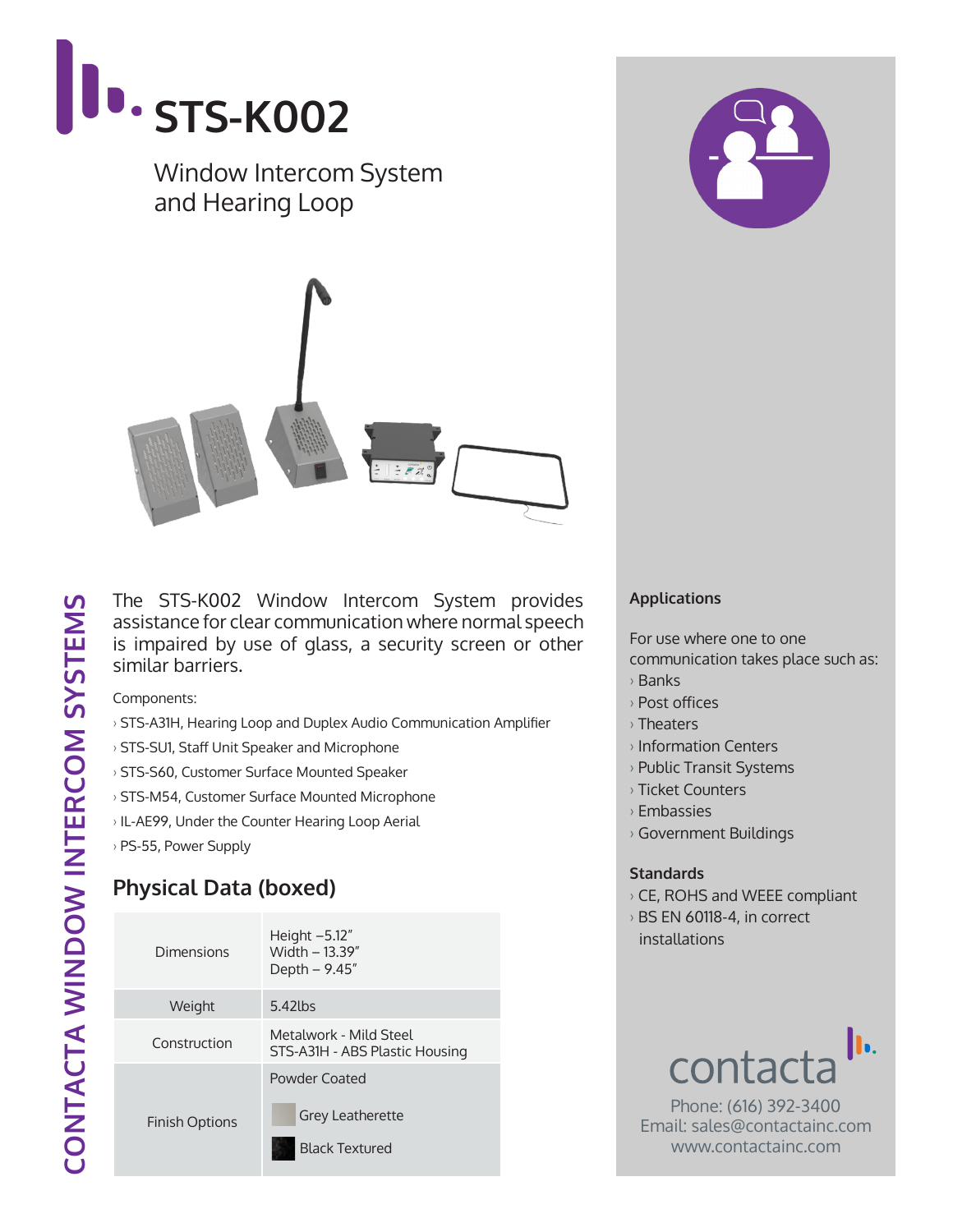

The STS-K002 Window Intercom System provides assistance for clear communication where normal speech is impaired by use of glass, a security screen or other similar barriers.

Components:

- › STS-A31H, Hearing Loop and Duplex Audio Communication Amplifier
- › STS-SU1, Staff Unit Speaker and Microphone
- › STS-S60, Customer Surface Mounted Speaker
- › STS-M54, Customer Surface Mounted Microphone
- › IL-AE99, Under the Counter Hearing Loop Aerial
- › PS-55, Power Supply

## **Physical Data (boxed)**

| Dimensions            | Height $-5.12"$<br>Width - 13.39"<br>Depth - 9.45"                |  |
|-----------------------|-------------------------------------------------------------------|--|
| Weight                | $5.42$ lbs                                                        |  |
| Construction          | Metalwork - Mild Steel<br>STS-A31H - ABS Plastic Housing          |  |
| <b>Finish Options</b> | Powder Coated<br><b>Grey Leatherette</b><br><b>Black Textured</b> |  |



For use where one to one communication takes place such as:

- › Banks
- › Post offices
- › Theaters
- › Information Centers
- › Public Transit Systems
- › Ticket Counters
- › Embassies
- › Government Buildings

## **Standards**

- › CE, ROHS and WEEE compliant
- › BS EN 60118-4, in correct installations



Phone: (616) 392-3400 Email: sales@contactainc.com www.contactainc.com